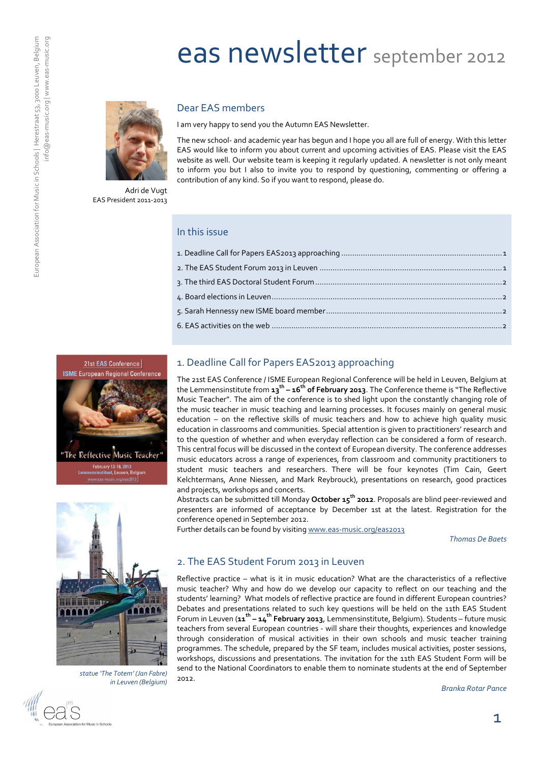# eas newsletter september 2012



#### Dear EAS members

I am very happy to send you the Autumn EAS Newsletter.

The new school- and academic year has begun and I hope you all are full of energy. With this letter EAS would like to inform you about current and upcoming activities of EAS. Please visit the EAS website as well. Our website team is keeping it regularly updated. A newsletter is not only meant to inform you but I also to invite you to respond by questioning, commenting or offering a contribution of any kind. So if you want to respond, please do.

Adri de Vugt EAS President 2011-2013

#### In this issue



## 1. Deadline Call for Papers EAS2013 approaching

The 21st EAS Conference / ISME European Regional Conference will be held in Leuven, Belgium at the Lemmensinstitute from 13<sup>th</sup> – 16<sup>th</sup> of February 2013. The Conference theme is "The Reflective Music Teacher". The aim of the conference is to shed light upon the constantly changing role of the music teacher in music teaching and learning processes. It focuses mainly on general music education – on the reflective skills of music teachers and how to achieve high quality music education in classrooms and communities. Special attention is given to practitioners' research and to the question of whether and when everyday reflection can be considered a form of research. This central focus will be discussed in the context of European diversity. The conference addresses music educators across a range of experiences, from classroom and community practitioners to student music teachers and researchers. There will be four keynotes (Tim Cain, Geert Kelchtermans, Anne Niessen, and Mark Reybrouck), presentations on research, good practices and projects, workshops and concerts.

Abstracts can be submitted till Monday October 15<sup>th</sup> 2012. Proposals are blind peer-reviewed and presenters are informed of acceptance by December 1st at the latest. Registration for the conference opened in September 2012.

Further details can be found by visiting www.eas-music.org/eas2013

Thomas De Baets



statue 'The Totem' (Jan Fabre) in Leuven (Belgium)

#### 2. The EAS Student Forum 2013 in Leuven

Reflective practice – what is it in music education? What are the characteristics of a reflective music teacher? Why and how do we develop our capacity to reflect on our teaching and the students' learning? What models of reflective practice are found in different European countries? Debates and presentations related to such key questions will be held on the 11th EAS Student Forum in Leuven (11<sup>th</sup> – 14<sup>th</sup> F**ebruary 2013,** Lemmensinstitute, Belgium). Students – future music teachers from several European countries - will share their thoughts, experiences and knowledge through consideration of musical activities in their own schools and music teacher training programmes. The schedule, prepared by the SF team, includes musical activities, poster sessions, workshops, discussions and presentations. The invitation for the 11th EAS Student Form will be send to the National Coordinators to enable them to nominate students at the end of September 2012.

Branka Rotar Pance

1